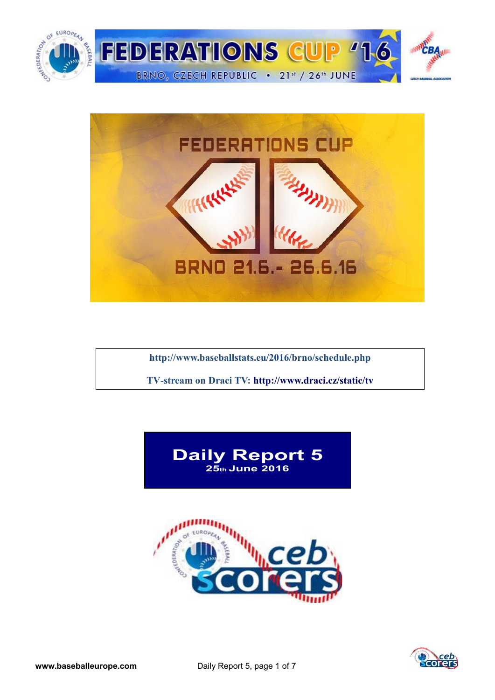



**<http://www.baseballstats.eu/2016/brno/schedule.php>**

**TV-stream on Draci TV:<http://www.draci.cz/static/tv>**





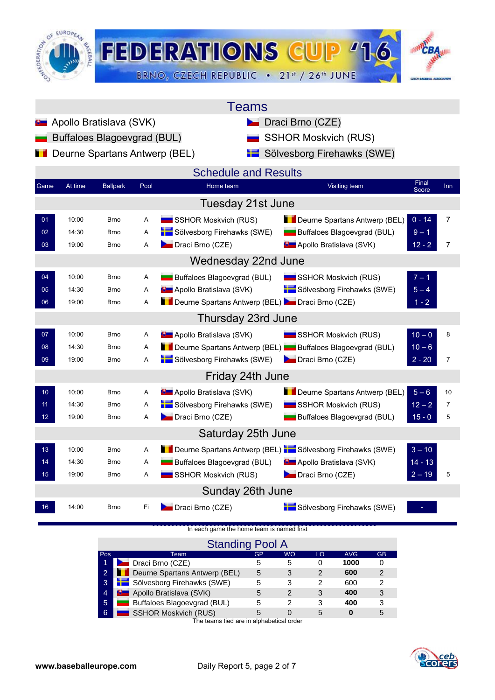

|                 |         |                               |      | <b>Teams</b>                                              |                                               |     |
|-----------------|---------|-------------------------------|------|-----------------------------------------------------------|-----------------------------------------------|-----|
|                 |         | Apollo Bratislava (SVK)       |      |                                                           | <b>Draci Brno (CZE)</b>                       |     |
|                 |         | Buffaloes Blagoevgrad (BUL)   |      |                                                           | <b>SSHOR Moskvich (RUS)</b>                   |     |
|                 |         | Deurne Spartans Antwerp (BEL) |      |                                                           | Sölvesborg Firehawks (SWE)                    |     |
|                 |         |                               |      | <b>Schedule and Results</b>                               |                                               |     |
| Game            | At time | <b>Ballpark</b>               | Pool | Home team                                                 | Final<br>Visiting team<br><b>Score</b>        | Inn |
|                 |         |                               |      | Tuesday 21st June                                         |                                               |     |
| 01              | 10:00   | Brno                          | Α    | SSHOR Moskvich (RUS)                                      | Deurne Spartans Antwerp (BEL)<br>$0 - 14$     | 7   |
| 02 <sub>2</sub> | 14:30   | <b>Brno</b>                   | A    | Sölvesborg Firehawks (SWE)                                | <b>Buffaloes Blagoevgrad (BUL)</b><br>$9 - 1$ |     |
| 03              | 19:00   | <b>Brno</b>                   | Α    | Draci Brno (CZE)                                          | <b>B</b> Apollo Bratislava (SVK)<br>$12 - 2$  | 7   |
|                 |         |                               |      | Wednesday 22nd June                                       |                                               |     |
| 04              | 10:00   | <b>Brno</b>                   | Α    | Buffaloes Blagoevgrad (BUL)                               | $7 - 1$<br>SSHOR Moskvich (RUS)               |     |
| 05              | 14:30   | <b>Brno</b>                   | A    | <b>D</b> Apollo Bratislava (SVK)                          | $5 - 4$<br>Sölvesborg Firehawks (SWE)         |     |
| 06              | 19:00   | <b>Brno</b>                   | Α    | Deurne Spartans Antwerp (BEL) Draci Brno (CZE)            | $1 - 2$                                       |     |
|                 |         |                               |      | Thursday 23rd June                                        |                                               |     |
| 07              | 10:00   | <b>Brno</b>                   | Α    | <b>D</b> Apollo Bratislava (SVK)                          | $10 - 0$<br>SSHOR Moskvich (RUS)              | 8   |
| 08              | 14:30   | <b>Brno</b>                   | A    | Deurne Spartans Antwerp (BEL) Buffaloes Blagoevgrad (BUL) | $10 - 6$                                      |     |
| 09              | 19:00   | Brno                          | Α    | Sölvesborg Firehawks (SWE)                                | Draci Brno (CZE)<br>$2 - 20$                  | 7   |
|                 |         |                               |      | Friday 24th June                                          |                                               |     |
| 10              | 10:00   | <b>Brno</b>                   | Α    | <b>B</b> Apollo Bratislava (SVK)                          | Deurne Spartans Antwerp (BEL)<br>$5 - 6$      | 10  |
| 11              | 14:30   | <b>Brno</b>                   | Α    | Sölvesborg Firehawks (SWE)                                | $12 - 2$<br>SSHOR Moskvich (RUS)              | 7   |
| 12 <sup>°</sup> | 19:00   | <b>Brno</b>                   | Α    | Draci Brno (CZE)                                          | Buffaloes Blagoevgrad (BUL)<br>$15 - 0$       | 5   |
|                 |         |                               |      | Saturday 25th June                                        |                                               |     |
| 13              | 10:00   | <b>Brno</b>                   | Α    | Deurne Spartans Antwerp (BEL) Sölvesborg Firehawks (SWE)  | $3 - 10$                                      |     |
| 14              | 14:30   | <b>Brno</b>                   | A    | Buffaloes Blagoevgrad (BUL)                               | <b>B</b> Apollo Bratislava (SVK)<br>$14 - 13$ |     |
| 15 <sub>1</sub> | 19:00   | <b>Brno</b>                   | Α    | SSHOR Moskvich (RUS)                                      | Draci Brno (CZE)<br>$2 - 19$                  | 5   |
|                 |         |                               |      | Sunday 26th June                                          |                                               |     |
| 16 <sup>°</sup> | 14:00   | <b>Brno</b>                   | Fi   | Draci Brno (CZE)                                          | Sölvesborg Firehawks (SWE)                    |     |

[In each game the home team is named first](http://score.cebeurope.com/2013/antwerp/login.php)

|                | <b>Standing Pool A</b>               |    |           |    |            |           |
|----------------|--------------------------------------|----|-----------|----|------------|-----------|
| Pos            | Team                                 | GP | <b>WO</b> | LO | <b>AVG</b> | <b>GB</b> |
|                | <b>Draci Brno (CZE)</b>              | 5  | 5         | 0  | 1000       |           |
| $\overline{2}$ | <b>Deurne Spartans Antwerp (BEL)</b> | 5  | 3         | 2  | 600        | 2         |
| 3              | Sölvesborg Firehawks (SWE)           | 5  | 3         | 2  | 600        | 2         |
| $\overline{4}$ | <b>D</b> Apollo Bratislava (SVK)     | 5  | 2         | 3  | 400        | 3         |
| 5              | Buffaloes Blagoevgrad (BUL)          | 5  | 2         | 3  | 400        | з         |
| 6              | <b>SSHOR Moskvich (RUS)</b>          | 5  |           | 5  |            |           |

The teams tied are in alphabetical order

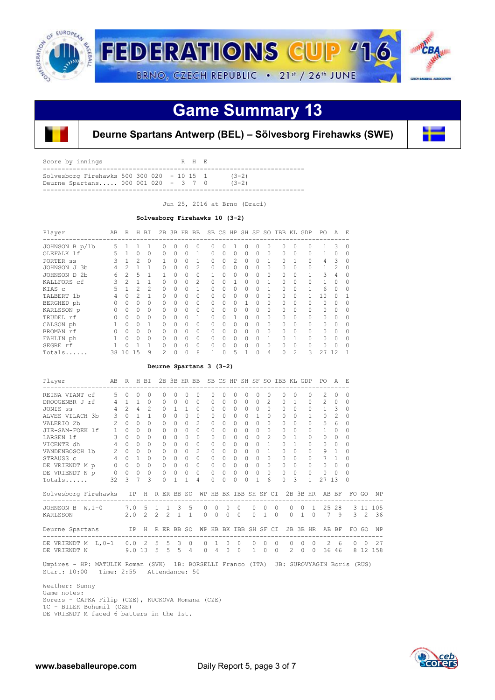

# **Game Summary 13**



### **Deurne Spartans Antwerp (BEL) – Sölvesborg Firehawks (SWE)**

| Score by innings                                     | R H E |         |
|------------------------------------------------------|-------|---------|
| Solvesborg Firehawks $500$ $300$ $020 - 10$ $15$ $1$ |       | $(3-2)$ |
| Deurne Spartans 000 001 020 - 3 7 0                  |       | $(3-2)$ |

Jun 25, 2016 at Brno (Draci)

#### **Solvesborg Firehawks 10 (3-2)**

| Player         | AB | R  | Н  | ВI             | 2B       |          | 3B HR BB |                | SB       |   |   | CS HP SH SF |   | SO.      | IBB KL   |                | GDP      | PO.    | A  | F.       |
|----------------|----|----|----|----------------|----------|----------|----------|----------------|----------|---|---|-------------|---|----------|----------|----------------|----------|--------|----|----------|
| JOHNSON B p/1b | 5  |    |    |                | O        | 0        | Ω        | $\Omega$       |          |   |   |             |   | Ω        | O        |                |          |        | 3  | 0        |
| OLEFALK 1f     | 5. |    | 0  | $\Omega$       | $\Omega$ | 0        | 0        |                | $\Omega$ | 0 | 0 | $\Omega$    | 0 | $\Omega$ | $\Omega$ | $\Omega$       | $\Omega$ |        | 0  | 0        |
| PORTER SS      |    |    |    | $\Omega$       |          | 0        | Ω        |                | 0        | O | 2 | 0           |   |          | 0        |                | $\Omega$ | 4      | 3  | 0        |
| JOHNSON J 3b   |    |    |    |                | O        | 0        | 0        | $\mathfrak{D}$ | $\Omega$ | 0 | 0 | $\Omega$    |   | O        | $\Omega$ | $\Omega$       |          |        |    | 0        |
| JOHNSON D 2b   | 6  | 2  | 5  |                |          | 0        | 0        | $\Omega$       |          | Λ | 0 | $\Omega$    | 0 | 0        | 0        | $\Omega$       |          | 3      | 4  | $\Omega$ |
| KALLFORS cf    |    |    |    |                | 0        | 0        | 0        | $\mathfrak{D}$ | $\Omega$ | Ω |   | $\cap$      | Ω |          | $\Omega$ | $\Omega$       | $\cap$   |        | Ω  | 0        |
| KIAS C         | 5  |    | 2  | $\mathfrak{D}$ | $\Omega$ | 0        | 0        |                | $\Omega$ | Ω | 0 | $\Omega$    | Ω |          | $\Omega$ | $\Omega$       |          | 6      | Ω  | $\Omega$ |
| TALBERT 1b     |    | O  | 2  |                | $\Omega$ | 0        | 0        | $\Omega$       | $\Omega$ | Ω | 0 | $\Omega$    | 0 | O        | $\Omega$ | $\Omega$       |          | 10     | Ω  |          |
| BERGHED ph     |    |    | Ω  | $\Omega$       | 0        | 0        | 0        | $\Omega$       | $\Omega$ | 0 | O |             | Ω | $\Omega$ | $\Omega$ | $\Omega$       |          | $\cap$ | Ω  | ∩        |
| KARLSSON p     |    | O  | Ω  | $\Omega$       | $\Omega$ | $\Omega$ | 0        | $\Omega$       | $\Omega$ | Ω | O | $\bigcap$   | Ω | $\Omega$ | $\Omega$ | $\Omega$       |          | $\cap$ | Ω  | ∩        |
| TRUDEL rf      |    | O  | Ω  | $\Omega$       | 0        | O        | 0        | 1              | 0        | Λ |   | $\cap$      | Ω | O        | $\Omega$ | $\Omega$       | $\Omega$ | $\cap$ | O  | O        |
| CALSON ph      |    |    | O  |                | O        | O        | Ω        | $\Omega$       | 0        | 0 | 0 | $\Omega$    | Ω | O        | $\Omega$ | $\Omega$       | $\Omega$ | $\cap$ |    | O        |
| BROMAN rf      |    | O  | 0  | $\Omega$       | Ω        | O        | Ω        | $\Omega$       | Λ        |   | Ω | $\Omega$    | Ω | O        | 0        | $\Omega$       | $\Omega$ | $\cap$ |    |          |
| FAHLIN ph      |    |    | Ω  |                | Λ        | O        | Ω        | $\Omega$       | Λ        |   | Ω | $\cap$      |   |          | Ω        |                | $\Omega$ | $\cap$ |    | O        |
| SEGRE rf       |    |    |    |                | Λ        | O        | Ω        | $\Omega$       | Λ        | Λ | Ω | $\cap$      | Ω | O        | O        | $\Omega$       |          | $\cap$ |    | O        |
| Totals         | 38 | 10 | 15 | 9              | 2        | 0        | 0        | 8              |          | 0 | 5 |             | 0 | 4        | 0        | $\overline{c}$ | 3        | 27     | 12 |          |

#### **Deurne Spartans 3 (3-2)**

| Player                              | AB R<br>------------------ |               |                | H BI          |               |          | 2B 3B HR BB         |                           |                |                       |                          |               |           |                   |                      |                      | SB CS HP SH SF SO IBB KL GDP |                                                 |                       | PO.<br>-------------- | A              | - E           |               |           |
|-------------------------------------|----------------------------|---------------|----------------|---------------|---------------|----------|---------------------|---------------------------|----------------|-----------------------|--------------------------|---------------|-----------|-------------------|----------------------|----------------------|------------------------------|-------------------------------------------------|-----------------------|-----------------------|----------------|---------------|---------------|-----------|
| REINA VIANT cf                      | 5                          | $\Omega$      | 0              | $\Omega$      |               | $\Omega$ | $\Omega$            | $\Omega$                  | 0              | 0                     | $\Omega$                 | $\Omega$      |           |                   | $\Omega$             |                      | $\Omega$                     | $\Omega$                                        | $\Omega$              | $\overline{c}$        | $\Omega$       | 0             |               |           |
| DROOGENBR J rf                      | $4 -$                      | 1             | $\mathbf{1}$   | $\Omega$      |               | $\Omega$ | $\Omega$            | $\Omega$                  | $\Omega$       | 0                     | $\Omega$                 | $\Omega$      | $\Omega$  | $\Omega$          | $\mathcal{L}$        |                      | $\Omega$                     | $\mathbf{1}$                                    | $\Omega$              | $\mathfrak{D}$        | $\Omega$       | $\Omega$      |               |           |
| JONIS SS                            |                            | $4\quad 2$    | $\overline{a}$ | $\mathcal{L}$ |               | $\Omega$ | $\mathbf{1}$        | $\mathbf{1}$              | $\Omega$       | 0                     | $\Omega$                 | $\Omega$      | $\Omega$  | $\circ$           | $\Omega$             |                      | $\cap$                       | $\Omega$                                        | $\Omega$              | $1 \quad 3$           |                | 0             |               |           |
| ALVES VILACH 3b                     | 3                          | $\Omega$      | $\mathbf{1}$   | $\mathbf{1}$  |               | $\Omega$ | $\Omega$            | $\bigcap$                 | $\Omega$       | $\Omega$              | $\bigcap$                | $\Omega$      | $\Omega$  | $\mathbf{1}$      | $\Omega$             |                      | $\cap$                       | $\bigcap$                                       |                       | $\Omega$              | 2              | $\Omega$      |               |           |
| VALERIO 2b                          | $\overline{2}$             | $\bigcap$     | $\Omega$       | $\Omega$      |               | $\Omega$ | $\bigcap$           | $\Omega$                  | $\mathcal{L}$  | 0                     | $\Omega$                 | $\Omega$      | $\bigcap$ | $\Omega$          | $\Omega$             |                      | $\cap$                       | $\Omega$                                        | $\bigcap$             | 5                     | 6              | 0             |               |           |
| JIE-SAM-FOEK lf                     | $\mathbf{1}$               | $\Omega$      | $\Omega$       | $\Omega$      |               | $\Omega$ | 0                   | $\bigcap$                 | $\Omega$       | 0                     | $\Omega$                 | $\Omega$      | $\Omega$  | $\Omega$          | $\Omega$             |                      | $\Omega$                     | $\Omega$                                        | $\Omega$              | 1                     | $\Omega$       | 0             |               |           |
| LARSEN 1f                           | $3 -$                      | $\Omega$      | $\Omega$       | $\Omega$      |               | $\Omega$ | $\Omega$            | $\bigcap$                 | $\Omega$       | 0                     | $\bigcap$                | $\Omega$      | $\Omega$  | $\cap$            | $\mathfrak{D}$       |                      | $\Omega$                     | $\mathbf{1}$                                    | $\cap$                | $\Omega$              | $\Omega$       | $\Omega$      |               |           |
| VICENTE dh                          | $4\overline{ }$            | $\Omega$      | $\Omega$       | $\Omega$      |               | $\Omega$ | 0                   | $\Omega$                  | $\Omega$       | 0                     | $\Omega$                 | $\Omega$      | $\Omega$  | $\Omega$          | $\mathbf{1}$         |                      | $\Omega$                     | $\mathbf{1}$                                    | $\Omega$              | 0                     | $\Omega$       | $\Omega$      |               |           |
| VANDENBOSCH 1b                      | $\overline{2}$             | $\Omega$      | $\Omega$       | $\Omega$      |               | $\Omega$ | $\Omega$            | $\bigcap$                 | $\mathfrak{D}$ | 0                     | $\Omega$                 | $\circ$       | $\Omega$  | $\Omega$          | $\mathbf{1}$         |                      | 0                            | $\Omega$                                        | $\Omega$              | 9                     | $\overline{1}$ | $\Omega$      |               |           |
| STRAUSS c                           |                            | $4\quad 0$    | $\mathbf{1}$   | $\Omega$      |               | $\circ$  | $\circ$             | $\Omega$                  | $\Omega$       | $\circ$               | $\Omega$                 | $\circ$       | $\circ$   | $\circ$           | $\Omega$             |                      | $\Omega$                     | $\Omega$                                        | $\Omega$              |                       | $7 \quad 1$    | $\Omega$      |               |           |
| DE VRIENDT M p                      |                            | $0\quad 0$    | $\Omega$       | $\Omega$      |               | $\Omega$ | $\Omega$            | $\Omega$                  | $\Omega$       | $\Omega$              | $\Omega$                 | $\Omega$      | $\Omega$  | $\circ$           | $\Omega$             |                      |                              | $\bigcap$                                       |                       | $\Omega$              | $\bigcirc$     | $\Omega$      |               |           |
| DE VRIENDT N p                      |                            | $0\quad 0$    | $\circ$        | 0             |               | $\circ$  | $\overline{0}$      | $\circ$                   | $\circ$        | 0                     |                          | $0\quad 0$    | $\circ$   | $\Omega$          | $\circ$              |                      | $\Omega$                     | $\Omega$                                        | $\Omega$              | $\mathbf{0}$          | $\bigcirc$     | $\Omega$      |               |           |
| Totals                              | 32                         | $\mathcal{L}$ | $\overline{7}$ | ς             |               | $\Omega$ | 1                   | 1                         | 4              | 0                     | $\Omega$                 | $\Omega$      | 0         | 1                 | 6                    |                      | O                            | 3                                               | $\mathbf{1}$          | 27 13                 |                | $\Omega$      |               |           |
| Solvesborg Firehawks IP H           |                            |               |                |               |               |          | R ER BB SO          |                           |                | WP HB BK IBB SH SF CI |                          |               |           |                   |                      |                      |                              | 2B 3B HR                                        |                       | AB BF                 |                |               | FO GO         | NP        |
| JOHNSON B W, 1-0                    |                            | $7.0\quad5$   |                |               | $\mathbf{1}$  |          | $1 \quad 3 \quad 5$ |                           | $\Omega$       | $\Omega$              | $\mathbf{0}$             | $\circ$       |           | $\Omega$          | $\Omega$             | $\Omega$             |                              | $\circ$<br>$\circ$                              | 1                     | 25                    | 28             |               |               | 3 11 105  |
| KARLSSON                            |                            | 2.0           |                | 2             | $\mathcal{L}$ |          | $2 \quad 1$         | $\mathbf{1}$              | $\Omega$       | $\Omega$              | $\Omega$                 | $\Omega$      |           | $\Omega$          | 1                    | $\Omega$             | $\Omega$                     | $\mathbf{1}$                                    | $\bigcirc$            | 7                     | 9              | $\mathcal{L}$ | $\mathcal{L}$ | 36        |
| Deurne Spartans IP H R ER BB SO     |                            |               |                |               |               |          |                     |                           |                | WP HB BK IBB SH SF CI |                          |               |           |                   |                      |                      |                              | 2B 3B HR                                        |                       |                       | AB BF          |               | FO GO         | <b>NP</b> |
| DE VRIENDT M L, 0-1<br>DE VRIENDT N |                            | $0.0$ 2 5     |                | $9.013$ 5 5 5 |               |          | 5 <sup>3</sup>      | $\circ$<br>$\overline{4}$ | 0<br>$\Omega$  | 1<br>4                | $\mathbf{0}$<br>$\Omega$ | 0<br>$\Omega$ |           | 0<br>$\mathbf{1}$ | $\Omega$<br>$\Omega$ | $\Omega$<br>$\Omega$ |                              | $\Omega$<br>$\Omega$<br>$2^{\circ}$<br>$\Omega$ | $\Omega$<br>$\bigcap$ | 2<br>36               | 6<br>46        | 0<br>8        | 0<br>12       | 27<br>158 |

 Umpires - HP: MATULIK Roman (SVK) 1B: BORSELLI Franco (ITA) 3B: SUROVYAGIN Boris (RUS) Start: 10:00 Time: 2:55 Attendance: 50

 Weather: Sunny Game notes: Sorers - CAPKA Filip (CZE), KUCKOVA Romana (CZE) TC - BILEK Bohumil (CZE) DE VRIENDT M faced 6 batters in the 1st.

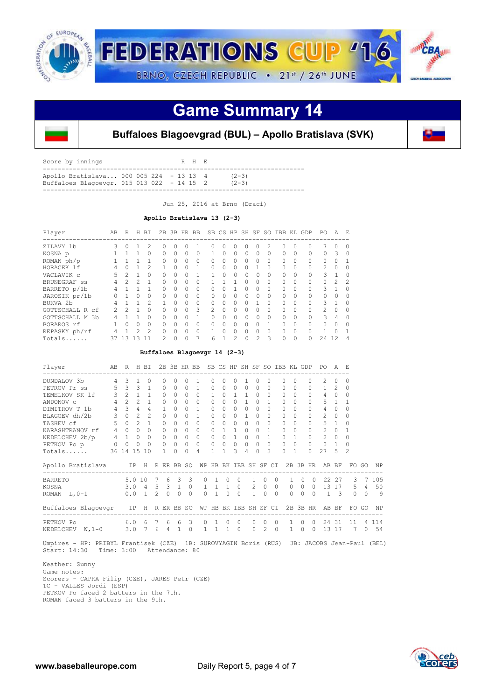

### **Game Summary 14**



### **Buffaloes Blagoevgrad (BUL) – Apollo Bratislava (SVK)**

| Score by innings                                                                        |  | R H E |                      |
|-----------------------------------------------------------------------------------------|--|-------|----------------------|
| Apollo Bratislava 000 005 224 - 13 13 4<br>Buffaloes Blagoevgr. $015$ 013 022 - 14 15 2 |  |       | $(2-3)$<br>$(2 - 3)$ |
|                                                                                         |  |       |                      |

Jun 25, 2016 at Brno (Draci)

#### **Apollo Bratislava 13 (2-3)**

| Player               | AB | R              | H.       | BI             | 2.B           |           | 3B HR BB |          |          |              |                   |          |                |                | SB CS HP SH SF SO IBB KL GDP |          |          | PO.           | A             | E             |
|----------------------|----|----------------|----------|----------------|---------------|-----------|----------|----------|----------|--------------|-------------------|----------|----------------|----------------|------------------------------|----------|----------|---------------|---------------|---------------|
| ZILAVY 1b            | 3  | $\Omega$       |          | $\mathcal{P}$  | 0             | O.        |          |          |          |              | 0                 | O        |                | $\mathfrak{D}$ | 0                            | $\Omega$ | 0        |               | Ω             |               |
| KOSNA p              |    |                |          | $\Omega$       | 0             | 0         | $\Omega$ | $\Omega$ |          | 0            | $\Omega$          | $\Omega$ | $\Omega$       | $\Omega$       | 0                            | $\Omega$ | 0        | 0             | 3             | $\Omega$      |
| ROMAN ph/p           |    |                |          |                | 0             | $\bigcap$ | 0        | $\Omega$ | 0        | $\Omega$     | $\Omega$          | 0        | $\Omega$       | $\Omega$       | $\Omega$                     | $\Omega$ | $\Omega$ | $\cap$        | 0             |               |
| HORACEK 1f           |    | $\Omega$       |          | $\mathfrak{D}$ |               | U         | 0        |          | $\Omega$ | $\Omega$     | $\Omega$          |          |                | $\Omega$       | $\Omega$                     | $\Omega$ | 0        | $\mathcal{L}$ | $\Omega$      |               |
| VACLAVIK C           | 5  | $\mathfrak{D}$ |          | $\Omega$       | 0             | 0         |          |          |          | U            | $\Omega$          | $\Omega$ | $\Omega$       | $\Omega$       | 0                            | $\Omega$ | 0        | 3             |               |               |
| BRUNEGRAF SS         | 4  | $\mathcal{P}$  | 2        |                | 0             | $\cap$    | $\Omega$ | $\Omega$ |          |              |                   | $\Omega$ | $\Omega$       | $\Omega$       | $\Omega$                     | $\Omega$ | $\Omega$ | O             | $\mathcal{P}$ | $\mathcal{P}$ |
| BARRETO p/1b         |    |                |          |                | 0             | 0         | $\Omega$ | $\Omega$ | $\cap$   |              |                   | $\Omega$ | $\Omega$       | $\Omega$       | $\Omega$                     | $\Omega$ | 0        | 3             |               | $\cap$        |
| JAROSIK pr/1b        | 0  |                | 0        | $\Omega$       | 0             | 0         | 0        | $\Omega$ |          | <sup>0</sup> | $\Omega$          | 0        | $\Omega$       | $\Omega$       | 0                            | $\Omega$ | 0        | 0             | 0             |               |
| BUKVA <sub>2</sub> b | 4  |                |          | $\mathcal{P}$  | 1.            | $\cap$    | $\Omega$ | $\Omega$ | $\cap$   | $\Omega$     | $\Omega$          | O        |                | $\Omega$       | $\bigcap$                    | $\Omega$ | $\Omega$ | 3             |               | ∩             |
| GOTTSCHALL R cf      | 2. | っ              |          | $\Omega$       | 0             | 0         | 0        | 3        | 2        | $\cap$       | 0                 | O        | 0              | $\Omega$       | $\Omega$                     | $\Omega$ | $\Omega$ | 2             | 0             | ∩             |
| GOTTSCHALL M 3b      | 4  |                |          | $\Omega$       | 0             | $\Omega$  | O        |          |          | $\cap$       | $\Omega$          | $\Omega$ | $\bigcap$      | $\Omega$       | 0                            | $\Omega$ | $\Omega$ | 3             | 4             |               |
| BORAROS rf           |    | O              | $\Omega$ | $\Omega$       | 0             | 0         | 0        | $\Omega$ | $\cap$   | $\cap$       | $\Omega$          | $\Omega$ | 0              |                | 0                            | $\Omega$ | 0        | U             | Ω             | ∩             |
| REPASKY ph/rf        |    |                | 2        | $\mathcal{P}$  | 0             | U         | O        | $\Omega$ |          |              | $\Omega$          | U        | 0              | $\Omega$       | U                            | $\Omega$ | $\cap$   |               |               |               |
| Totals               | 37 | 13             | 1.3      | 11             | $\mathcal{L}$ | $\Omega$  | 0        |          | 6        |              | $\mathcal{D}_{1}$ | $\Omega$ | $\mathfrak{D}$ | 3              | 0                            | 0        | 0        | 24            | 12.           |               |

#### **Buffaloes Blagoevgr 14 (2-3)**

| Player                             | AB             | R                 |                | H BI           |               | 2B           | 3B HR BB        |               |              |                       |              |                      |              |               |              |                      |          | SB CS HP SH SF SO IBB KL GDP |          | PO.            | A              | F.             |          |           |
|------------------------------------|----------------|-------------------|----------------|----------------|---------------|--------------|-----------------|---------------|--------------|-----------------------|--------------|----------------------|--------------|---------------|--------------|----------------------|----------|------------------------------|----------|----------------|----------------|----------------|----------|-----------|
| DUNDALOV 3b                        | 4              | 3                 |                | $\Omega$       |               | 0            | 0               | <sup>n</sup>  |              | 0.                    | <sup>n</sup> | 0                    |              |               | <sup>0</sup> |                      | 0        | $\cap$                       |          | 2.             | $\Omega$       | 0              |          |           |
| PETROV Pr ss                       | 5              | $\mathcal{L}$     | $\mathcal{L}$  | $\mathbf{1}$   |               | $\Omega$     | $\Omega$        | $\Omega$      | $\mathbf{1}$ | 0                     | $\Omega$     | $\Omega$             | 0            |               | $\Omega$     |                      | 0        | $\cap$                       |          | $\mathbf{1}$   | 2              | 0              |          |           |
| TEMELKOV SK 1f                     | 3              | $\mathcal{L}$     | $\mathbf{1}$   | $\mathbf{1}$   |               | $\Omega$     | $\Omega$        | $\Omega$      | $\bigcap$    | 1.                    | $\Omega$     | $\mathbf{1}$         | $\mathbf{1}$ | $\Omega$      | $\Omega$     |                      | $\Omega$ |                              |          | 4              | $\Omega$       | $\Omega$       |          |           |
| ANDONOV C                          | $\overline{4}$ | $\mathcal{L}$     | $\mathcal{P}$  | $\mathbf{1}$   |               | $\Omega$     | $\bigcap$       | $\cap$        | $\Omega$     | 0                     | $\cap$       | $\Omega$             | $\mathbf{1}$ | $\Omega$      | 1            |                      |          |                              |          | 5              | $\overline{1}$ |                |          |           |
| DIMITROV T 1b                      | $\overline{4}$ | $\mathcal{R}$     | $\overline{4}$ | 4              |               | $\mathbf{1}$ | $\Omega$        | $\cap$        | $\mathbf{1}$ | 0                     | $\Omega$     | $\Omega$             | $\bigcap$    | $\Omega$      | $\Omega$     |                      |          |                              |          | 4              | $\Omega$       | $\Omega$       |          |           |
| BLAGOEV dh/2b                      |                | $3 \quad 0$       | $\mathcal{L}$  | $\mathfrak{D}$ |               | $\Omega$     | $\Omega$        | $\Omega$      | $\mathbf{1}$ | $\Omega$              | $\cap$       | $\Omega$             | $\mathbf{1}$ | $\Omega$      | $\Omega$     |                      | $\Omega$ | $\Omega$                     | $\Omega$ | $\mathcal{L}$  | $\Omega$       | $\Omega$       |          |           |
| TASHEV cf                          | 5              | $\Omega$          | $\mathcal{P}$  | $\mathbf{1}$   |               | $\Omega$     | $\Omega$        | $\cap$        | $\Omega$     | $\Omega$              | $\Omega$     | $\Omega$             | $\Omega$     | $\Omega$      | $\Omega$     |                      |          |                              |          | 5              | $\overline{1}$ | $\Omega$       |          |           |
| KARASHTRANOV rf                    | $4 -$          | $\Omega$          | $\Omega$       | $\Omega$       |               | $\Omega$     | $\Omega$        | $\cap$        | $\Omega$     | 0                     |              | $\overline{1}$       | $\bigcap$    | $\Omega$      | 1            |                      | $\cap$   | $\Omega$                     | 0        | $\mathcal{L}$  | $\Omega$       |                |          |           |
| NEDELCHEV 2b/p                     |                | $4\quad 1\quad 0$ |                | $\Omega$       |               | $\Omega$     | $\Omega$        | $\Omega$      | $\Omega$     | $\Omega$              | $\Omega$     | $\overline{1}$       | $\Omega$     | $\Omega$      | 1            |                      | $\Omega$ | $\mathbb{1}$                 | $\Omega$ | $\mathfrak{D}$ | $\Omega$       | $\Omega$       |          |           |
| PETKOV Po p                        | $\circ$        | $\overline{0}$    | $\Omega$       | $\Omega$       |               | $\Omega$     | $\Omega$        | $\Omega$      | $\Omega$     | $\Omega$              | $\circ$      | $\Omega$             | $\Omega$     | $\Omega$      | $\Omega$     |                      | $\Omega$ | $\Omega$                     | $\Omega$ | $\Omega$       | $\mathbf{1}$   | $\Omega$       |          |           |
| Totals                             | 36 14          |                   | 15             | 10             |               | 1            | $\Omega$        | 0             | 4            | 1.                    | 1            | $\mathcal{L}$        | 4            |               | ς            |                      | 0        | 1                            | $\cap$   | 27             | 5              | $\mathfrak{D}$ |          |           |
| Apollo Bratislava                  |                |                   |                |                |               |              | IP H R ER BB SO |               |              | WP HB BK IBB SH SF CI |              |                      |              |               |              |                      |          | 2B 3B HR                     |          |                | AB BF          | FO.            | GO       | <b>NP</b> |
| <b>BARRETO</b>                     |                |                   | 5.0 10         |                | 7             | 6            | $\mathcal{L}$   | 3             | <sup>0</sup> | 1                     | $\Omega$     | $\Omega$             |              | $\mathbf{1}$  | $\cap$       | $\Omega$             |          | $\Omega$                     | $\Omega$ | 22.            | 27             | 3              |          | 105       |
| KOSNA                              |                |                   | 3.0            | 4              | 5             |              | $3 \quad 1$     | $\mathbf{0}$  | $\mathbf{1}$ | $\mathbf{1}^-$        |              | 1 0                  |              | $\mathcal{L}$ | $\Omega$     | $\Omega$             | $\Omega$ | $\circ$                      | $\Omega$ | 13             | 17             | 5              | 4        | 50        |
| ROMAN $L, 0-1$                     |                | 0.0               |                | $\overline{1}$ | $\mathcal{L}$ | $\Omega$     | $\Omega$        | $\Omega$      | $\Omega$     | $\overline{1}$        | $\Omega$     | $\Omega$             |              | $\mathbf{1}$  | $\Omega$     | $\cap$               | $\Omega$ | $\Omega$                     | $\cap$   | $\mathbf{1}$   | - 3            | $\Omega$       | $\Omega$ | 9         |
| Buffaloes Blagoevgr                |                |                   | IP             | H              |               |              | R ER BB SO      |               |              | WP HB BK IBB SH SF CI |              |                      |              |               |              |                      |          | 2B 3B HR                     |          |                | AB BF          |                | FO GO    | <b>NP</b> |
| PETKOV Po<br>NEDELCHEV<br>$W, 1-0$ |                | 3.0               | 6.0            | 6              | 7<br>6        | 6<br>4       | 6               | 3<br>$\Omega$ | $\Omega$     |                       | $\Omega$     | $\Omega$<br>$\Omega$ |              | $\Omega$      | $\cap$<br>2  | $\Omega$<br>$\Omega$ | 1        | <sup>0</sup><br>$\Omega$     |          | 2.4<br>13      | 31<br>17       | 11<br>7        | 4<br>0   | 114<br>54 |
|                                    |                |                   |                |                |               |              |                 |               |              |                       |              |                      |              |               |              |                      |          |                              |          |                |                |                |          |           |

 Umpires - HP: PRIBYL Frantisek (CZE) 1B: SUROVYAGIN Boris (RUS) 3B: JACOBS Jean-Paul (BEL) Start: 14:30 Time: 3:00 Attendance: 80

 Weather: Sunny Game notes: Scorers - CAPKA Filip (CZE), JARES Petr (CZE) TC - VALLES Jordi (ESP) PETKOV Po faced 2 batters in the 7th. ROMAN faced 3 batters in the 9th.

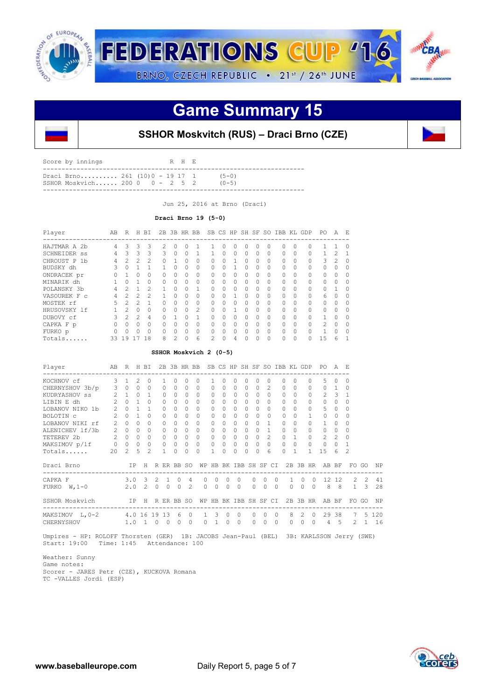

## **Game Summary 15**



| Draci Brno 261 $(10)0 - 19$ 17 1<br>$(5 - 0)$<br>SSHOR Moskvich 200 0 $-2$ 5 2<br>$(0 - 5)$ | Score by innings |  | R H E |  |  |
|---------------------------------------------------------------------------------------------|------------------|--|-------|--|--|
|                                                                                             |                  |  |       |  |  |

Jun 25, 2016 at Brno (Draci)

#### **Draci Brno 19 (5-0)**

| Player           | AB | R             | н | BI            | 2B       |                | 3B HR | <b>BB</b>     | SB       | CS       | HP           |          | SH SF | SO.      | IBB      | KL.          | GDP      | PO.           | A                 | F.       |
|------------------|----|---------------|---|---------------|----------|----------------|-------|---------------|----------|----------|--------------|----------|-------|----------|----------|--------------|----------|---------------|-------------------|----------|
| HAJTMAR A<br>-2b | 4  | 3             | 3 | 3             | 2.       | $\bigcap$      |       |               |          | $\Omega$ | $\Omega$     | 0        | 0     | $\Omega$ | 0        |              | 0        |               |                   | $\Omega$ |
| SCHNEIDER SS     | 4  | 3             | 3 | 3             | 3        | $\Omega$       |       |               |          | 0        | $\Omega$     | $\Omega$ | 0     | $\Omega$ | $\Omega$ |              | $\Omega$ |               | $\mathfrak{D}$    |          |
| CHROUST P 1b     | 4  |               | 2 | 2             | 0        |                |       | 0             | 0        | $\Omega$ |              | $\Omega$ | 0     | $\Omega$ | $\Omega$ |              | $\Omega$ | 3             | $\mathcal{D}_{1}$ | 0        |
| BUDSKY dh        | Κ  | $\bigcap$     |   | 1             | 1        | $\Omega$       | 0     | 0             | $\Omega$ | O        |              | $\Omega$ | 0     | $\Omega$ | $\Omega$ | <sup>0</sup> | $\Omega$ | 0             | 0                 | ∩        |
| ONDRACEK pr      | O  |               | 0 | 0             | 0        | $\bigcap$      | Ω     | 0             | 0        | $\Omega$ | $\Omega$     | $\cap$   | 0     | $\Omega$ | $\Omega$ |              | $\Omega$ | 0             | $\Omega$          |          |
| MINARIK dh       |    |               |   | 0             | 0        | $\Omega$       |       | 0             | 0        | $\Omega$ | $\Omega$     | $\Omega$ | 0     | $\Omega$ | $\Omega$ |              | $\Omega$ | 0             | $\Omega$          | 0        |
| POLANSKY 3b      | 4  | $\mathcal{D}$ |   | $\mathcal{P}$ | 1        | $\cap$         | Ω     |               | $\Omega$ | $\Omega$ | $\Omega$     | $\cap$   | 0     | $\Omega$ | $\Omega$ | ∩            | $\Omega$ | 0             | 1                 | $\cap$   |
| VASOUREK F C     | 4  | 2             | 2 | 2             |          |                |       | 0             | 0        |          |              | O        | 0     | $\Omega$ | $\Omega$ |              | $\Omega$ | 6             | O                 |          |
| MOSTEK rf        | 5  | 2             | 2 |               | Ω        | $\Omega$       |       | 0             | 0        | $\Omega$ | $\Omega$     | $\Omega$ | 0     | $\Omega$ | $\Omega$ |              | $\Omega$ | 0             | $\Omega$          |          |
| HRUSOVSKY 1f     |    | $\mathcal{P}$ | Ω | O             | $\Omega$ | $\Omega$       | Ω     | $\mathcal{L}$ | $\Omega$ | $\Omega$ |              | $\Omega$ | 0     | $\Omega$ | $\Omega$ | $\Omega$     | $\cap$   | 0             | $\Omega$          | ∩        |
| DUBOVY cf        | Κ  | 2             | 2 | 4             |          |                |       | 1             | O        | $\Omega$ |              | $\Omega$ | 0     | $\Omega$ | $\Omega$ |              | $\Omega$ | $\mathbf{1}$  | $\Omega$          |          |
| CAPKA F p        | 0  |               | 0 | $\Omega$      | 0        | $\bigcap$      |       | 0             | 0        | O        | <sup>0</sup> | O        | 0     | $\Omega$ | $\Omega$ |              | $\Omega$ | $\mathcal{L}$ | $\Omega$          | 0        |
| FURKO p          |    |               | Λ | $\Omega$      | $\Omega$ | $\cap$         | ∩     | $\Omega$      | 0        | ∩        | $\cap$       | $\Omega$ | 0     | $\Omega$ | $\Omega$ | ∩            | $\cap$   | 1             | $\Omega$          | $\cap$   |
| Totals           | 33 | 19            |   | 18            | 8        | $\mathfrak{D}$ |       | 6             | 2        | 0        | 4            | 0        | 0     | $\Omega$ | $\Omega$ |              |          | 15            | 6                 |          |

#### **SSHOR Moskvich 2 (0-5)**

| Player                                                                                  | AB R H BI   |                 |  |              |                |                     |                               |              |                                 |                |                   |                |            |               |                                                            |            |                        | 2B 3B HR BB SB CS HP SH SF SO IBB KL GDP PO A E |             |               |          |
|-----------------------------------------------------------------------------------------|-------------|-----------------|--|--------------|----------------|---------------------|-------------------------------|--------------|---------------------------------|----------------|-------------------|----------------|------------|---------------|------------------------------------------------------------|------------|------------------------|-------------------------------------------------|-------------|---------------|----------|
| KOCHNOV cf 3 1 2 0                                                                      |             |                 |  | $\mathbf{1}$ | $\Omega$       | $\Omega$            | $\Omega$                      | $\mathbf{1}$ | $\Omega$                        | $\Omega$       | $\Omega$          | $\Omega$       |            | $\Omega$      | $\Omega$                                                   | $\Omega$   |                        | $5 -$<br>$\Omega$                               | $\Omega$    | $\Omega$      |          |
| CHERNYSHOV 3b/p 3 0 0 0                                                                 |             |                 |  | $\circ$      |                | $0\quad 0\quad 0$   |                               | $\Omega$     | $\Omega$                        | $\Omega$       | $\overline{0}$    |                | $\Omega$   | $\mathcal{L}$ | $0 \quad 0$                                                |            |                        | $\Omega$                                        | $0 \quad 1$ | $\Omega$      |          |
| KUDRYASHOV ss <sup>2</sup> 2 1 0 1 0                                                    |             |                 |  |              | $\overline{0}$ |                     | $0\quad 0$                    | $\Omega$     | $\Omega$                        |                | $0\quad 0\quad 0$ |                |            | $\Omega$      | $\Omega$                                                   | $\bigcirc$ |                        |                                                 | $2 \quad 3$ | $\mathbf{1}$  |          |
| $2 \quad 0 \quad 1 \quad 0$<br>LIBIN E dh                                               |             |                 |  | $\Omega$     | $\Omega$       | $\cap$              | $\Omega$                      | $\Omega$     | $\cap$                          | $\Omega$       | $\Omega$          |                | $\Omega$   | $\Omega$      | $\Omega$                                                   | $\Omega$   | $\Omega$               | $\overline{0}$                                  | $\Omega$    | $\Omega$      |          |
| LOBANOV NIKO 1b 2 0 1 1 0                                                               |             |                 |  |              |                | $0\quad 0$          | $\Omega$                      | $\circ$      | $\Omega$                        | $\circ$        | $\overline{0}$    |                | $\circ$    | $\circ$       | $\Omega$                                                   | $\Omega$   | $\Omega$               | $5 -$                                           | $\circ$     | 0             |          |
| $2 \quad 0 \quad 1 \quad 0$<br>BOLOTIN C                                                |             |                 |  | $\Omega$     |                | $0\quad 0$          | $\Omega$                      | $\Omega$     | $\cap$                          | $\Omega$       |                   | $0 \quad 0$    |            | $\Omega$      | $\Omega$                                                   | $\Omega$   |                        | $\Omega$                                        | $\Omega$    | $\Omega$      |          |
| LOBANOV NIKI rf 2 0 0 0                                                                 |             |                 |  | $\Omega$     |                | $0\quad 0$          | $\Omega$                      | $\Omega$     | $\Omega$                        |                | $0\quad 0$        |                | $\Omega$   | $1 \quad 0$   |                                                            | $\Omega$   | $\cap$                 |                                                 | $1 \quad 0$ | 0             |          |
| ALENICHEV $1f/3b$ 2 0 0 0                                                               |             |                 |  | $\Omega$     |                | $0 \quad 0 \quad 0$ |                               | $\Omega$     | $\cap$                          | $\Omega$       |                   | 0 <sub>0</sub> |            | $\mathbf{1}$  | $\bigcap$                                                  | $\Omega$   | $\cap$                 | $\overline{0}$                                  | $\Omega$    | $\Omega$      |          |
|                                                                                         |             |                 |  | $\circ$      |                |                     | $0\quad 0\quad 0$             |              | $0\quad 0\quad 0\quad 0\quad 0$ |                |                   |                |            |               | 2 0 1 0                                                    |            |                        |                                                 | $2 \quad 2$ | $\Omega$      |          |
| TETEREV 2b<br>MAKSIMOV p/lf 0 0 0 0                                                     |             |                 |  |              |                |                     | $0\quad 0\quad 0\quad 0$      |              |                                 |                |                   |                |            |               | $0\quad 0\quad 0\quad 0\quad 0\quad 0\quad 0\quad 0\qquad$ |            |                        | $0 \quad 0 \quad 0$                             |             | $\mathbf{1}$  |          |
| Totals 20 2 5 2                                                                         |             |                 |  | 1            | $\cap$         | $\cap$              | $\Omega$                      | $\mathbf{1}$ | $\cap$                          | $\Omega$       | $\Omega$          |                | $\cap$     | 6             | $\cap$                                                     | $\sim$ 1   | $\mathbf{1}$           | $15 \quad 6$                                    |             | $\mathcal{L}$ |          |
| Draci Brno TPH RER BB SO WPHB BK IBB SH SF CI 2B 3B HR AB BF FO GO NP                   |             |                 |  |              |                |                     |                               |              |                                 |                |                   |                |            |               |                                                            |            |                        |                                                 |             |               |          |
| CAPKA F                                                                                 |             | $3.0$ 3 2 1 0 4 |  |              |                |                     |                               | $0\quad 0$   |                                 | $0\quad 0$     |                   |                | $0\quad 0$ | $\bigcirc$    |                                                            |            |                        | 1 0 0 12 12 2 2 41                              |             |               |          |
| FURKO $W, 1-0$                                                                          | 2.0 2 0 0 0 |                 |  |              |                | $\mathcal{L}$       |                               | $0\quad 0$   | $\Omega$                        | $\Omega$       |                   | $\cap$         | $\Omega$   | $\Omega$      |                                                            | $\Omega$   | $\Omega$<br>$\bigcirc$ |                                                 |             | 8 8 1 3       | 28       |
| SSHOR Moskvich IP H R ER BB SO WP HB BK IBB SH SF CI 2B 3B HR AB BF                     |             |                 |  |              |                |                     |                               |              |                                 |                |                   |                |            |               |                                                            |            |                        |                                                 |             |               | FO GO NP |
| MAKSIMOV L, 0-2 4.0 16 19 13 6 0                                                        |             |                 |  |              |                |                     |                               | $1 \quad 3$  | $\circ$                         | $\overline{0}$ |                   | $\Omega$       | $\Omega$   | $\bigcirc$    |                                                            | 8 2 0      |                        |                                                 |             | 29 38 7       | 5 1 2 0  |
| CHERNYSHOV                                                                              |             |                 |  |              |                |                     | 1.0 1 0 0 0 0 0 1 0 0 0 0 0 0 |              |                                 |                |                   |                |            |               |                                                            |            |                        | 0 0 0 4 5 2 1 16                                |             |               |          |
| Umpires - HP: ROLOFF Thorsten (GER) 1B: JACOBS Jean-Paul (BEL) 3B: KARLSSON Jerry (SWE) |             |                 |  |              |                |                     |                               |              |                                 |                |                   |                |            |               |                                                            |            |                        |                                                 |             |               |          |

Start: 19:00 Time: 1:45 Attendance: 100

 Weather: Sunny Game notes: Scorer - JARES Petr (CZE), KUCKOVA Romana TC -VALLES Jordi (ESP)

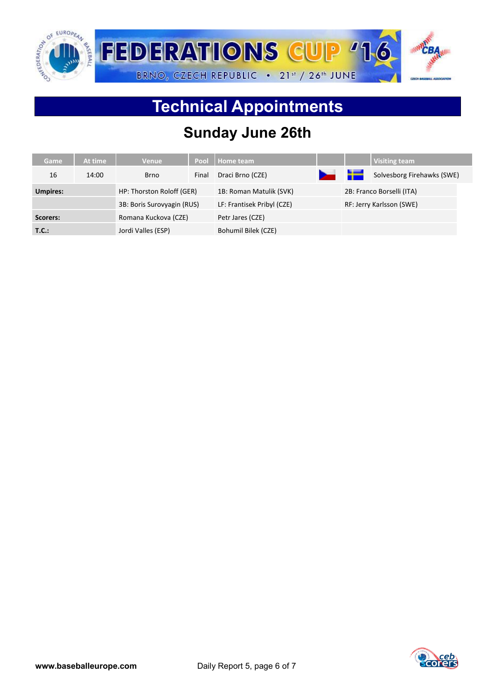

## **Technical Appointments**

### **Sunday June 26th**

| Game            | At time                    | <b>Venue</b>              | Pool                       | <b>Home team</b>        |                          |    | <b>Visiting team</b>       |
|-----------------|----------------------------|---------------------------|----------------------------|-------------------------|--------------------------|----|----------------------------|
| 16              | 14:00                      | <b>Brno</b>               | Final                      | Draci Brno (CZE)        | $\overline{\phantom{a}}$ | 놀글 | Solvesborg Firehawks (SWE) |
| <b>Umpires:</b> |                            | HP: Thorston Roloff (GER) |                            | 1B: Roman Matulik (SVK) |                          |    | 2B: Franco Borselli (ITA)  |
|                 | 3B: Boris Surovyagin (RUS) |                           | LF: Frantisek Pribyl (CZE) |                         | RF: Jerry Karlsson (SWE) |    |                            |
| Scorers:        |                            | Romana Kuckova (CZE)      |                            | Petr Jares (CZE)        |                          |    |                            |
| T.C.:           |                            | Jordi Valles (ESP)        |                            | Bohumil Bilek (CZE)     |                          |    |                            |